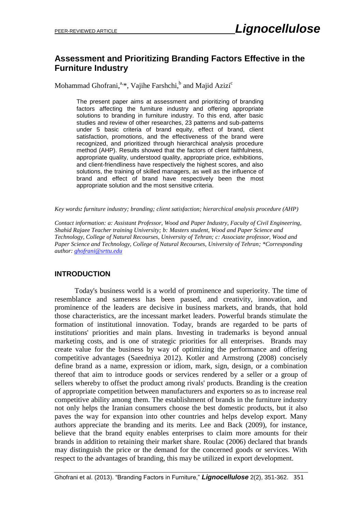### **Assessment and Prioritizing Branding Factors Effective in the Furniture Industry**

Mohammad Ghofrani,<sup>a,\*</sup>, Vajihe Farshchi,<sup>b</sup> and Majid Azizi<sup>c</sup>

The present paper aims at assessment and prioritizing of branding factors affecting the furniture industry and offering appropriate solutions to branding in furniture industry. To this end, after basic studies and review of other researches, 23 patterns and sub-patterns under 5 basic criteria of brand equity, effect of brand, client satisfaction, promotions, and the effectiveness of the brand were recognized, and prioritized through hierarchical analysis procedure method (AHP). Results showed that the factors of client faithfulness, appropriate quality, understood quality, appropriate price, exhibitions, and client-friendliness have respectively the highest scores, and also solutions, the training of skilled managers, as well as the influence of brand and effect of brand have respectively been the most appropriate solution and the most sensitive criteria.

*Key words: furniture industry; branding; client satisfaction; hierarchical analysis procedure (AHP)*

*Contact information: a: Assistant Professor, Wood and Paper Industry, Faculty of Civil Engineering, Shahid Rajaee Teacher training University; b: Masters student, Wood and Paper Science and Technology, College of Natural Recourses, University of Tehran; c: Associate professor, Wood and Paper Science and Technology, College of Natural Recourses, University of Tehran; \*Corresponding author: [ghofrani@srttu.edu](mailto:ghofrani@srttu.edu)*

### **INTRODUCTION**

 Today's business world is a world of prominence and superiority. The time of resemblance and sameness has been passed, and creativity, innovation, and prominence of the leaders are decisive in business markets, and brands, that hold those characteristics, are the incessant market leaders. Powerful brands stimulate the formation of institutional innovation. Today, brands are regarded to be parts of institutions' priorities and main plans. Investing in trademarks is beyond annual marketing costs, and is one of strategic priorities for all enterprises. Brands may create value for the business by way of optimizing the performance and offering competitive advantages (Saeedniya 2012). Kotler and Armstrong (2008) concisely define brand as a name, expression or idiom, mark, sign, design, or a combination thereof that aim to introduce goods or services rendered by a seller or a group of sellers whereby to offset the product among rivals' products. Branding is the creation of appropriate competition between manufacturers and exporters so as to increase real competitive ability among them. The establishment of brands in the furniture industry not only helps the Iranian consumers choose the best domestic products, but it also paves the way for expansion into other countries and helps develop export. Many authors appreciate the branding and its merits. Lee and Back (2009), for instance, believe that the brand equity enables enterprises to claim more amounts for their brands in addition to retaining their market share. Roulac (2006) declared that brands may distinguish the price or the demand for the concerned goods or services. With respect to the advantages of branding, this may be utilized in export development.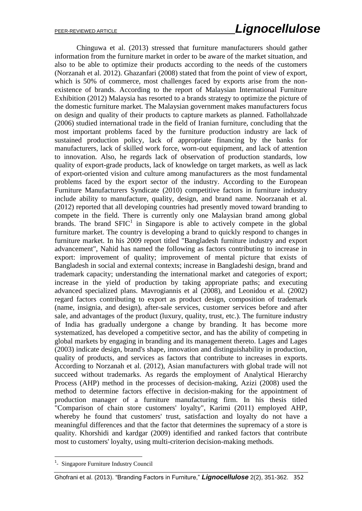## PEER-REVIEWED ARTICLE *Lignocellulose*

 Chinguwa et al. (2013) stressed that furniture manufacturers should gather information from the furniture market in order to be aware of the market situation, and also to be able to optimize their products according to the needs of the customers (Norzanah et al. 2012). Ghazanfari (2008) stated that from the point of view of export, which is 50% of commerce, most challenges faced by exports arise from the nonexistence of brands. According to the report of Malaysian International Furniture Exhibition (2012) Malaysia has resorted to a brands strategy to optimize the picture of the domestic furniture market. The Malaysian government makes manufacturers focus on design and quality of their products to capture markets as planned. Fathollahzade (2006) studied international trade in the field of Iranian furniture, concluding that the most important problems faced by the furniture production industry are lack of sustained production policy, lack of appropriate financing by the banks for manufacturers, lack of skilled work force, worn-out equipment, and lack of attention to innovation. Also, he regards lack of observation of production standards, low quality of export-grade products, lack of knowledge on target markets, as well as lack of export-oriented vision and culture among manufacturers as the most fundamental problems faced by the export sector of the industry. According to the European Furniture Manufacturers Syndicate (2010) competitive factors in furniture industry include ability to manufacture, quality, design, and brand name. Noorzanah et al. (2012) reported that all developing countries had presently moved toward branding to compete in the field. There is currently only one Malaysian brand among global brands. The brand  $SFIC<sup>1</sup>$  in Singapore is able to actively compete in the global furniture market. The country is developing a brand to quickly respond to changes in furniture market. In his 2009 report titled "Bangladesh furniture industry and export advancement", Nahid has named the following as factors contributing to increase in export: improvement of quality; improvement of mental picture that exists of Bangladesh in social and external contexts; increase in Bangladeshi design, brand and trademark capacity; understanding the international market and categories of export; increase in the yield of production by taking appropriate paths; and executing advanced specialized plans. Mavrogiannis et al (2008), and Leonidou et al. (2002) regard factors contributing to export as product design, composition of trademark (name, insignia, and design), after-sale services, customer services before and after sale, and advantages of the product (luxury, quality, trust, etc.). The furniture industry of India has gradually undergone a change by branding. It has become more systematized, has developed a competitive sector, and has the ability of competing in global markets by engaging in branding and its management thereto. Lages and Lages (2003) indicate design, brand's shape, innovation and distinguishability in production, quality of products, and services as factors that contribute to increases in exports. According to Norzanah et al. (2012), Asian manufacturers with global trade will not succeed without trademarks. As regards the employment of Analytical Hierarchy Process (AHP) method in the processes of decision-making, Azizi (2008) used the method to determine factors effective in decision-making for the appointment of production manager of a furniture manufacturing firm. In his thesis titled "Comparison of chain store customers' loyalty", Karimi (2011) employed AHP, whereby he found that customers' trust, satisfaction and loyalty do not have a meaningful differences and that the factor that determines the supremacy of a store is quality. Khorshidi and kardgar (2009) identified and ranked factors that contribute most to customers' loyalty, using multi-criterion decision-making methods.

**.** 

<sup>&</sup>lt;sup>1</sup>- Singapore Furniture Industry Council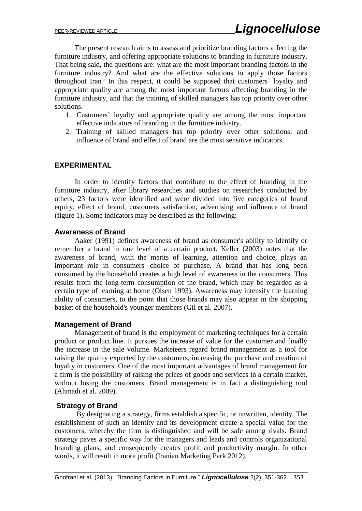The present research aims to assess and prioritize branding factors affecting the furniture industry, and offering appropriate solutions to branding in furniture industry. That being said, the questions are: what are the most important branding factors in the furniture industry? And what are the effective solutions to apply those factors throughout Iran? In this respect, it could be supposed that customers' loyalty and appropriate quality are among the most important factors affecting branding in the furniture industry, and that the training of skilled managers has top priority over other solutions.

- 1. Customers' loyalty and appropriate quality are among the most important effective indicators of branding in the furniture industry.
- 2. Training of skilled managers has top priority over other solutions; and influence of brand and effect of brand are the most sensitive indicators.

#### **EXPERIMENTAL**

 In order to identify factors that contribute to the effect of branding in the furniture industry, after library researches and studies on researches conducted by others, 23 factors were identified and were divided into five categories of brand equity, effect of brand, customers satisfaction, advertising and influence of brand (figure 1). Some indicators may be described as the following:

#### **Awareness of Brand**

 Aaker (1991) defines awareness of brand as consumer's ability to identify or remember a brand in one level of a certain product. Keller (2003) notes that the awareness of brand, with the merits of learning, attention and choice, plays an important role in consumers' choice of purchase. A brand that has long been consumed by the household creates a high level of awareness in the consumers. This results from the long-term consumption of the brand, which may be regarded as a certain type of learning at home (Olsen 1993). Awareness may intensify the learning ability of consumers, to the point that those brands may also appear in the shopping basket of the household's younger members (Gil et al. 2007).

#### **Management of Brand**

 Management of brand is the employment of marketing techniques for a certain product or product line. It pursues the increase of value for the customer and finally the increase in the sale volume. Marketeers regard brand management as a tool for raising the quality expected by the customers, increasing the purchase and creation of loyalty in customers. One of the most important advantages of brand management for a firm is the possibility of raising the prices of goods and services in a certain market, without losing the customers. Brand management is in fact a distinguishing tool (Ahmadi et al. 2009).

#### **Strategy of Brand**

 By designating a strategy, firms establish a specific, or unwritten, identity. The establishment of such an identity and its development create a special value for the customers, whereby the firm is distinguished and will be safe among rivals. Brand strategy paves a specific way for the managers and leads and controls organizational branding plans, and consequently creates profit and productivity margin. In other words, it will result in more profit (Iranian Marketing Park 2012).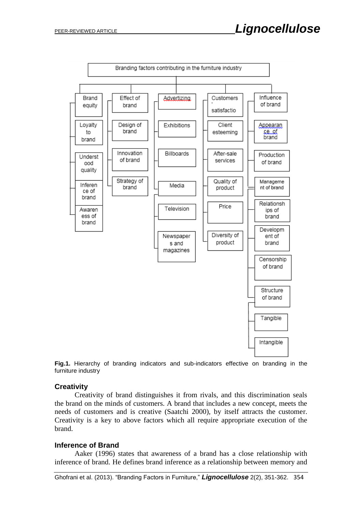

**Fig.1.** Hierarchy of branding indicators and sub-indicators effective on branding in the furniture industry

#### **Creativity**

 Creativity of brand distinguishes it from rivals, and this discrimination seals the brand on the minds of customers. A brand that includes a new concept, meets the needs of customers and is creative (Saatchi 2000), by itself attracts the customer. Creativity is a key to above factors which all require appropriate execution of the brand.

#### **Inference of Brand**

 Aaker (1996) states that awareness of a brand has a close relationship with inference of brand. He defines brand inference as a relationship between memory and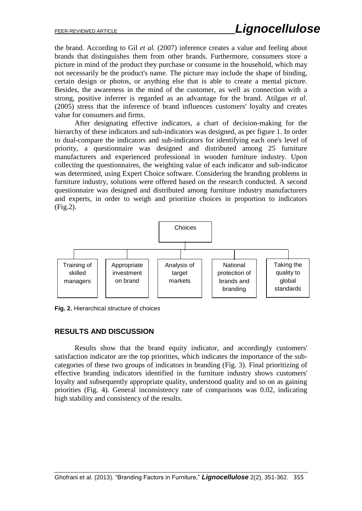the brand. According to Gil *et al.* (2007) inference creates a value and feeling about brands that distinguishes them from other brands. Furthermore, consumers store a picture in mind of the product they purchase or consume in the household, which may not necessarily be the product's name. The picture may include the shape of binding, certain design or photos, or anything else that is able to create a mental picture. Besides, the awareness in the mind of the customer, as well as connection with a strong, positive inferrer is regarded as an advantage for the brand. Atilgan *et al*. (2005) stress that the inference of brand influences customers' loyalty and creates value for consumers and firms.

 After designating effective indicators, a chart of decision-making for the hierarchy of these indicators and sub-indicators was designed, as per figure 1. In order to dual-compare the indicators and sub-indicators for identifying each one's level of priority, a questionnaire was designed and distributed among 25 furniture manufacturers and experienced professional in wooden furniture industry. Upon collecting the questionnaires, the weighting value of each indicator and sub-indicator was determined, using Expert Choice software. Considering the branding problems in furniture industry, solutions were offered based on the research conducted. A second questionnaire was designed and distributed among furniture industry manufacturers and experts, in order to weigh and prioritize choices in proportion to indicators (Fig.2).



**Fig. 2.** Hierarchical structure of choices

#### **RESULTS AND DISCUSSION**

 Results show that the brand equity indicator, and accordingly customers' satisfaction indicator are the top priorities, which indicates the importance of the subcategories of these two groups of indicators in branding (Fig. 3). Final prioritizing of effective branding indicators identified in the furniture industry shows customers' loyalty and subsequently appropriate quality, understood quality and so on as gaining priorities (Fig. 4). General inconsistency rate of comparisons was 0.02, indicating high stability and consistency of the results.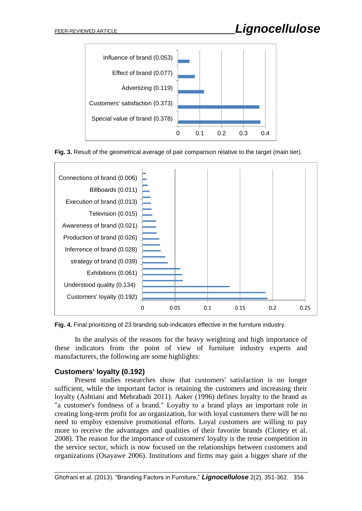





**Fig. 4.** Final prioritizing of 23 branding sub-indicators effective in the furniture industry.

 In the analysis of the reasons for the heavy weighting and high importance of these indicators from the point of view of furniture industry experts and manufacturers, the following are some highlights:

#### **Customers' loyalty (0.192)**

 Present studies researches show that customers' satisfaction is no longer sufficient, while the important factor is retaining the customers and increasing their loyalty (Ashtiani and Mehrabadi 2011). Aaker (1996) defines loyalty to the brand as "a customer's fondness of a brand." Loyalty to a brand plays an important role in creating long-term profit for an organization, for with loyal customers there will be no need to employ extensive promotional efforts. Loyal customers are willing to pay more to receive the advantages and qualities of their favorite brands (Clottey et al. 2008). The reason for the importance of customers' loyalty is the tense competition in the service sector, which is now focused on the relationships between customers and organizations (Osayawe 2006). Institutions and firms may gain a bigger share of the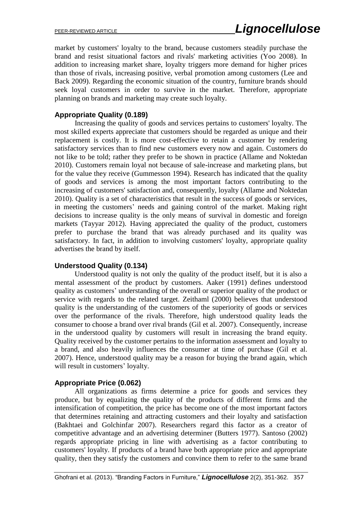market by customers' loyalty to the brand, because customers steadily purchase the brand and resist situational factors and rivals' marketing activities (Yoo 2008). In addition to increasing market share, loyalty triggers more demand for higher prices than those of rivals, increasing positive, verbal promotion among customers (Lee and Back 2009). Regarding the economic situation of the country, furniture brands should seek loyal customers in order to survive in the market. Therefore, appropriate planning on brands and marketing may create such loyalty.

#### **Appropriate Quality (0.189)**

 Increasing the quality of goods and services pertains to customers' loyalty. The most skilled experts appreciate that customers should be regarded as unique and their replacement is costly. It is more cost-effective to retain a customer by rendering satisfactory services than to find new customers every now and again. Customers do not like to be told; rather they prefer to be shown in practice (Allame and Noktedan 2010). Customers remain loyal not because of sale-increase and marketing plans, but for the value they receive (Gummesson 1994). Research has indicated that the quality of goods and services is among the most important factors contributing to the increasing of customers' satisfaction and, consequently, loyalty (Allame and Noktedan 2010). Quality is a set of characteristics that result in the success of goods or services, in meeting the customers' needs and gaining control of the market. Making right decisions to increase quality is the only means of survival in domestic and foreign markets (Tayyar 2012). Having appreciated the quality of the product, customers prefer to purchase the brand that was already purchased and its quality was satisfactory. In fact, in addition to involving customers' loyalty, appropriate quality advertises the brand by itself.

#### **Understood Quality (0.134)**

 Understood quality is not only the quality of the product itself, but it is also a mental assessment of the product by customers. Aaker (1991) defines understood quality as customers' understanding of the overall or superior quality of the product or service with regards to the related target. Zeithaml (2000) believes that understood quality is the understanding of the customers of the superiority of goods or services over the performance of the rivals. Therefore, high understood quality leads the consumer to choose a brand over rival brands (Gil et al. 2007). Consequently, increase in the understood quality by customers will result in increasing the brand equity. Quality received by the customer pertains to the information assessment and loyalty to a brand, and also heavily influences the consumer at time of purchase (Gil et al. 2007). Hence, understood quality may be a reason for buying the brand again, which will result in customers' loyalty.

#### **Appropriate Price (0.062)**

 All organizations as firms determine a price for goods and services they produce, but by equalizing the quality of the products of different firms and the intensification of competition, the price has become one of the most important factors that determines retaining and attracting customers and their loyalty and satisfaction (Bakhtaei and Golchinfar 2007). Researchers regard this factor as a creator of competitive advantage and an advertising determiner (Butters 1977). Santoso (2002) regards appropriate pricing in line with advertising as a factor contributing to customers' loyalty. If products of a brand have both appropriate price and appropriate quality, then they satisfy the customers and convince them to refer to the same brand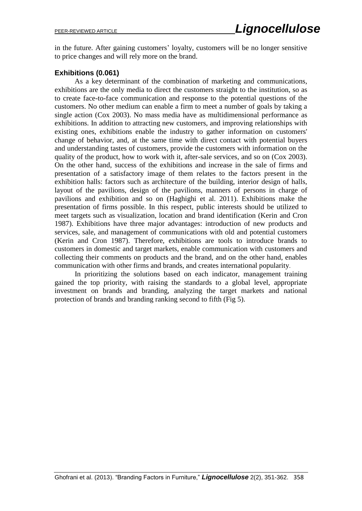in the future. After gaining customers' loyalty, customers will be no longer sensitive to price changes and will rely more on the brand.

#### **Exhibitions (0.061)**

 As a key determinant of the combination of marketing and communications, exhibitions are the only media to direct the customers straight to the institution, so as to create face-to-face communication and response to the potential questions of the customers. No other medium can enable a firm to meet a number of goals by taking a single action (Cox 2003). No mass media have as multidimensional performance as exhibitions. In addition to attracting new customers, and improving relationships with existing ones, exhibitions enable the industry to gather information on customers' change of behavior, and, at the same time with direct contact with potential buyers and understanding tastes of customers, provide the customers with information on the quality of the product, how to work with it, after-sale services, and so on (Cox 2003). On the other hand, success of the exhibitions and increase in the sale of firms and presentation of a satisfactory image of them relates to the factors present in the exhibition halls: factors such as architecture of the building, interior design of halls, layout of the pavilions, design of the pavilions, manners of persons in charge of pavilions and exhibition and so on (Haghighi et al. 2011). Exhibitions make the presentation of firms possible. In this respect, public interests should be utilized to meet targets such as visualization, location and brand identification (Kerin and Cron 1987). Exhibitions have three major advantages: introduction of new products and services, sale, and management of communications with old and potential customers (Kerin and Cron 1987). Therefore, exhibitions are tools to introduce brands to customers in domestic and target markets, enable communication with customers and collecting their comments on products and the brand, and on the other hand, enables communication with other firms and brands, and creates international popularity.

 In prioritizing the solutions based on each indicator, management training gained the top priority, with raising the standards to a global level, appropriate investment on brands and branding, analyzing the target markets and national protection of brands and branding ranking second to fifth (Fig 5).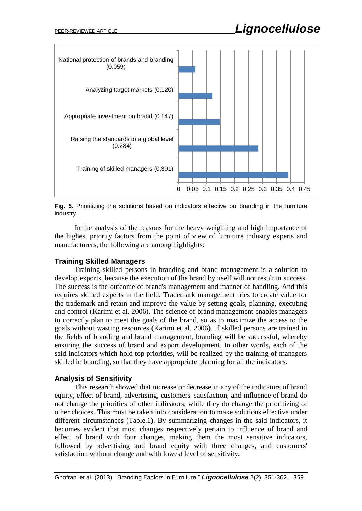# PEER-REVIEWED ARTICLE **Lignocellulose**



**Fig. 5.** Prioritizing the solutions based on indicators effective on branding in the furniture industry.

 In the analysis of the reasons for the heavy weighting and high importance of the highest priority factors from the point of view of furniture industry experts and manufacturers, the following are among highlights:

#### **Training Skilled Managers**

 Training skilled persons in branding and brand management is a solution to develop exports, because the execution of the brand by itself will not result in success. The success is the outcome of brand's management and manner of handling. And this requires skilled experts in the field. Trademark management tries to create value for the trademark and retain and improve the value by setting goals, planning, executing and control (Karimi et al. 2006). The science of brand management enables managers to correctly plan to meet the goals of the brand, so as to maximize the access to the goals without wasting resources (Karimi et al. 2006). If skilled persons are trained in the fields of branding and brand management, branding will be successful, whereby ensuring the success of brand and export development. In other words, each of the said indicators which hold top priorities, will be realized by the training of managers skilled in branding, so that they have appropriate planning for all the indicators.

#### **Analysis of Sensitivity**

 This research showed that increase or decrease in any of the indicators of brand equity, effect of brand, advertising, customers' satisfaction, and influence of brand do not change the priorities of other indicators, while they do change the prioritizing of other choices. This must be taken into consideration to make solutions effective under different circumstances (Table.1). By summarizing changes in the said indicators, it becomes evident that most changes respectively pertain to influence of brand and effect of brand with four changes, making them the most sensitive indicators, followed by advertising and brand equity with three changes, and customers' satisfaction without change and with lowest level of sensitivity.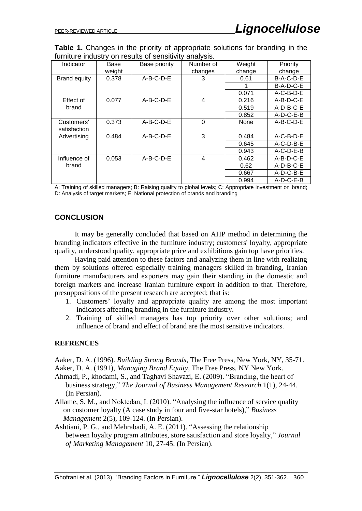**Table 1.** Changes in the priority of appropriate solutions for branding in the furniture industry on results of sensitivity analysis.

| Indicator             | Base   | Base priority | Number of | Weight      | <b>Priority</b> |
|-----------------------|--------|---------------|-----------|-------------|-----------------|
|                       | weight |               | changes   | change      | change          |
| <b>Brand equity</b>   | 0.378  | $A-B-C-D-E$   | 3         | 0.61        | $B-A-C-D-E$     |
|                       |        |               |           |             | B-A-D-C-E       |
|                       |        |               |           | 0.071       | $A-C-B-D-E$     |
| Effect of<br>brand    | 0.077  | $A-B-C-D-E$   | 4         | 0.216       | $A-B-D-C-E$     |
|                       |        |               |           | 0.519       | $A-D-B-C-E$     |
|                       |        |               |           | 0.852       | $A-D-C-E-B$     |
| Customers'            | 0.373  | $A-B-C-D-E$   | $\Omega$  | <b>None</b> | $A-B-C-D-E$     |
| satisfaction          |        |               |           |             |                 |
| Advertising           | 0.484  | $A-B-C-D-E$   | 3         | 0.484       | $A-C-B-D-E$     |
|                       |        |               |           | 0.645       | A-C-D-B-E       |
|                       |        |               |           | 0.943       | $A-C-D-E-B$     |
| Influence of<br>brand | 0.053  | $A-B-C-D-E$   | 4         | 0.462       | $A-B-D-C-E$     |
|                       |        |               |           | 0.62        | $A-D-B-C-E$     |
|                       |        |               |           | 0.667       | $A-D-C-B-E$     |
|                       |        |               |           | 0.994       | $A-D-C-E-B$     |

A: Training of skilled managers; B: Raising quality to global levels; C: Appropriate investment on brand; D: Analysis of target markets; E: National protection of brands and branding

#### **CONCLUSION**

 It may be generally concluded that based on AHP method in determining the branding indicators effective in the furniture industry; customers' loyalty, appropriate quality, understood quality, appropriate price and exhibitions gain top have priorities.

 Having paid attention to these factors and analyzing them in line with realizing them by solutions offered especially training managers skilled in branding, Iranian furniture manufacturers and exporters may gain their standing in the domestic and foreign markets and increase Iranian furniture export in addition to that. Therefore, presuppositions of the present research are accepted; that is:

- 1. Customers' loyalty and appropriate quality are among the most important indicators affecting branding in the furniture industry.
- 2. Training of skilled managers has top priority over other solutions; and influence of brand and effect of brand are the most sensitive indicators.

#### **REFRENCES**

Aaker, D. A. (1996). *Building Strong Brands*, The Free Press, New York, NY, 35-71. Aaker, D. A. (1991), *Managing Brand Equity*, The Free Press, NY New York.

- Ahmadi, P., khodami, S., and Taghavi Shavazi, E. (2009). "Branding, the heart of business strategy," *The Journal of Business Management Research* 1(1), 24-44. (In Persian).
- Allame, S. M., and Noktedan, I. (2010). "Analysing the influence of service quality on customer loyalty (A case study in four and five-star hotels)," *Business Management* 2(5), 109-124. (In Persian).
- Ashtiani, P. G., and Mehrabadi, A. E. (2011). "Assessing the relationship between loyalty program attributes, store satisfaction and store loyalty," *Journal of Marketing Management* 10, 27-45. (In Persian).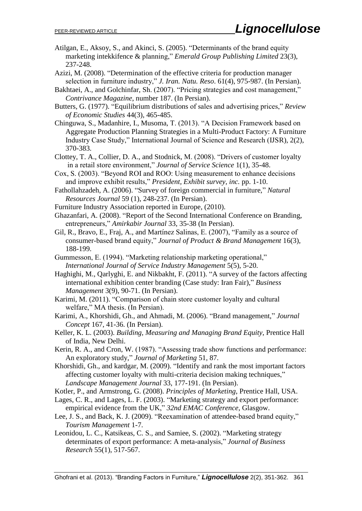- Atilgan, E., Aksoy, S., and Akinci, S. (2005). "Determinants of the brand equity marketing intekkifence & planning," *Emerald Group Publishing Limited* 23(3), 237-248.
- Azizi, M. (2008). "Determination of the effective criteria for production manager selection in furniture industry," *J. Iran. Natu. Reso*. 61(4), 975-987. (In Persian).
- Bakhtaei, A., and Golchinfar, Sh. (2007). "Pricing strategies and cost management," *Contrivance Magazine*, number 187. (In Persian).
- Butters, G. (1977). "Equilibrium distributions of sales and advertising prices," *Review of Economic Studies* 44(3), 465-485.
- Chinguwa, S., Madanhire, I., Musoma, T. (2013). "A Decision Framework based on Aggregate Production Planning Strategies in a Multi-Product Factory: A Furniture Industry Case Study," International Journal of Science and Research (IJSR), 2(2), 370-383.
- Clottey, T. A., Collier, D. A., and Stodnick, M. (2008). "Drivers of customer loyalty in a retail store environment," *Journal of Service Science* 1(1), 35-48.
- Cox, S. (2003). "Beyond ROI and ROO: Using measurement to enhance decisions and improve exhibit results," *President, Exhibit survey, inc.* pp. 1-10.
- Fathollahzadeh, A. (2006). "Survey of foreign commercial in furniture," *Natural Resources Journal* 59 (1), 248-237. (In Persian).
- Furniture Industry Association reported in Europe, (2010).
- Ghazanfari, A. (2008). "Report of the Second International Conference on Branding, entrepreneurs," *Amirkabir Journal* 33, 35-38 (In Persian).
- Gil, R., Bravo, E., Fraj, A., and Martínez Salinas, E. (2007), "Family as a source of consumer-based brand equity," *Journal of Product & Brand Management* 16(3), 188-199.
- Gummesson, E. (1994). "Marketing relationship marketing operational," *International Journal of Service Industry Management* 5(5), 5-20.
- Haghighi, M., Qarlyghi, E. and Nikbakht, F. (2011). "A survey of the factors affecting international exhibition center branding (Case study: Iran Fair)," *Business Management* 3(9), 90-71. (In Persian).
- Karimi, M. (2011). "Comparison of chain store customer loyalty and cultural welfare," MA thesis. (In Persian).
- Karimi, A., Khorshidi, Gh., and Ahmadi, M. (2006). "Brand management," *Journal Concept* 167, 41-36. (In Persian).
- Keller, K. L. (2003). *Building, Measuring and Managing Brand Equity*, Prentice Hall of India, New Delhi.
- Kerin, R. A., and Cron, W. (1987). "Assessing trade show functions and performance: An exploratory study," *Journal of Marketing* 51, 87.
- Khorshidi, Gh., and kardgar, M. (2009). "Identify and rank the most important factors affecting customer loyalty with multi-criteria decision making techniques," *Landscape Management Journal* 33, 177-191. (In Persian).
- Kotler, P., and Armstrong, G. (2008). *Principles of Marketing*, Prentice Hall, USA.
- Lages, C. R., and Lages, L. F. (2003). "Marketing strategy and export performance: empirical evidence from the UK," *32nd EMAC Conference*, Glasgow.
- Lee, J. S., and Back, K. J. (2009). "Reexamination of attendee-based brand equity," *Tourism Management* 1-7.
- Leonidou, L. C., Katsikeas, C. S., and Samiee, S. (2002). "Marketing strategy determinates of export performance: A meta-analysis," *Journal of Business Research* 55(1), 517-567.